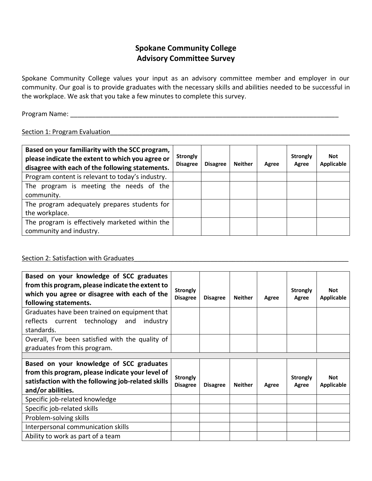## **Spokane Community College Advisory Committee Survey**

 Spokane Community College values your input as an advisory committee member and employer in our community. Our goal is to provide graduates with the necessary skills and abilities needed to be successful in the workplace. We ask that you take a few minutes to complete this survey.

Program Name: \_\_\_\_\_\_\_\_\_\_\_\_\_\_\_\_\_\_\_\_\_\_\_\_\_\_\_\_\_\_\_\_\_\_\_\_\_\_\_\_\_\_\_\_\_\_\_\_\_\_\_\_\_\_\_\_\_\_\_\_\_\_\_\_\_\_\_\_\_\_\_\_\_\_

## Section 1: Program Evaluation entitled and the section of the section of the section 1: Program Evaluation

| Based on your familiarity with the SCC program,<br>please indicate the extent to which you agree or<br>disagree with each of the following statements. | <b>Strongly</b><br><b>Disagree</b> | <b>Disagree</b> | <b>Neither</b> | Agree | <b>Strongly</b><br>Agree | <b>Not</b><br><b>Applicable</b> |
|--------------------------------------------------------------------------------------------------------------------------------------------------------|------------------------------------|-----------------|----------------|-------|--------------------------|---------------------------------|
| Program content is relevant to today's industry.                                                                                                       |                                    |                 |                |       |                          |                                 |
| The program is meeting the needs of the<br>community.                                                                                                  |                                    |                 |                |       |                          |                                 |
| The program adequately prepares students for<br>the workplace.                                                                                         |                                    |                 |                |       |                          |                                 |
| The program is effectively marketed within the<br>community and industry.                                                                              |                                    |                 |                |       |                          |                                 |

## Section 2: Satisfaction with Graduates\_\_\_\_\_\_\_\_\_\_\_\_\_\_\_\_\_\_\_\_\_\_\_\_\_\_\_\_\_\_\_\_\_\_\_\_\_\_\_\_\_\_\_\_\_\_\_\_\_\_\_\_\_\_\_\_\_\_\_

| Based on your knowledge of SCC graduates<br>from this program, please indicate the extent to<br>which you agree or disagree with each of the<br>following statements.   | <b>Strongly</b><br><b>Disagree</b> | <b>Disagree</b> | <b>Neither</b> | Agree | <b>Strongly</b><br>Agree | <b>Not</b><br><b>Applicable</b> |
|-------------------------------------------------------------------------------------------------------------------------------------------------------------------------|------------------------------------|-----------------|----------------|-------|--------------------------|---------------------------------|
| Graduates have been trained on equipment that<br>reflects current technology and<br>industry<br>standards.                                                              |                                    |                 |                |       |                          |                                 |
| Overall, I've been satisfied with the quality of<br>graduates from this program.                                                                                        |                                    |                 |                |       |                          |                                 |
|                                                                                                                                                                         |                                    |                 |                |       |                          |                                 |
|                                                                                                                                                                         |                                    |                 |                |       |                          |                                 |
| Based on your knowledge of SCC graduates<br>from this program, please indicate your level of<br>satisfaction with the following job-related skills<br>and/or abilities. | <b>Strongly</b><br><b>Disagree</b> | <b>Disagree</b> | <b>Neither</b> | Agree | <b>Strongly</b><br>Agree | <b>Not</b><br><b>Applicable</b> |
| Specific job-related knowledge                                                                                                                                          |                                    |                 |                |       |                          |                                 |
| Specific job-related skills                                                                                                                                             |                                    |                 |                |       |                          |                                 |
| Problem-solving skills                                                                                                                                                  |                                    |                 |                |       |                          |                                 |
| Interpersonal communication skills                                                                                                                                      |                                    |                 |                |       |                          |                                 |